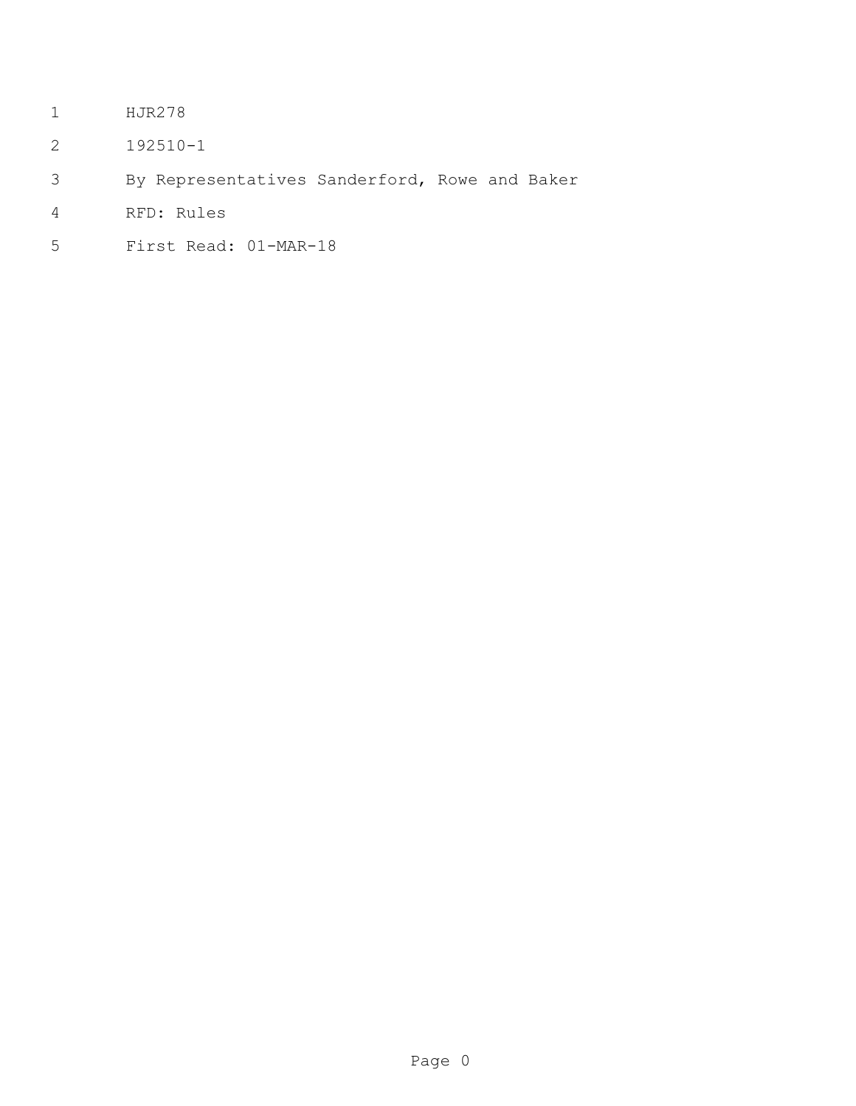- HJR278
- 192510-1
- By Representatives Sanderford, Rowe and Baker
- RFD: Rules
- First Read: 01-MAR-18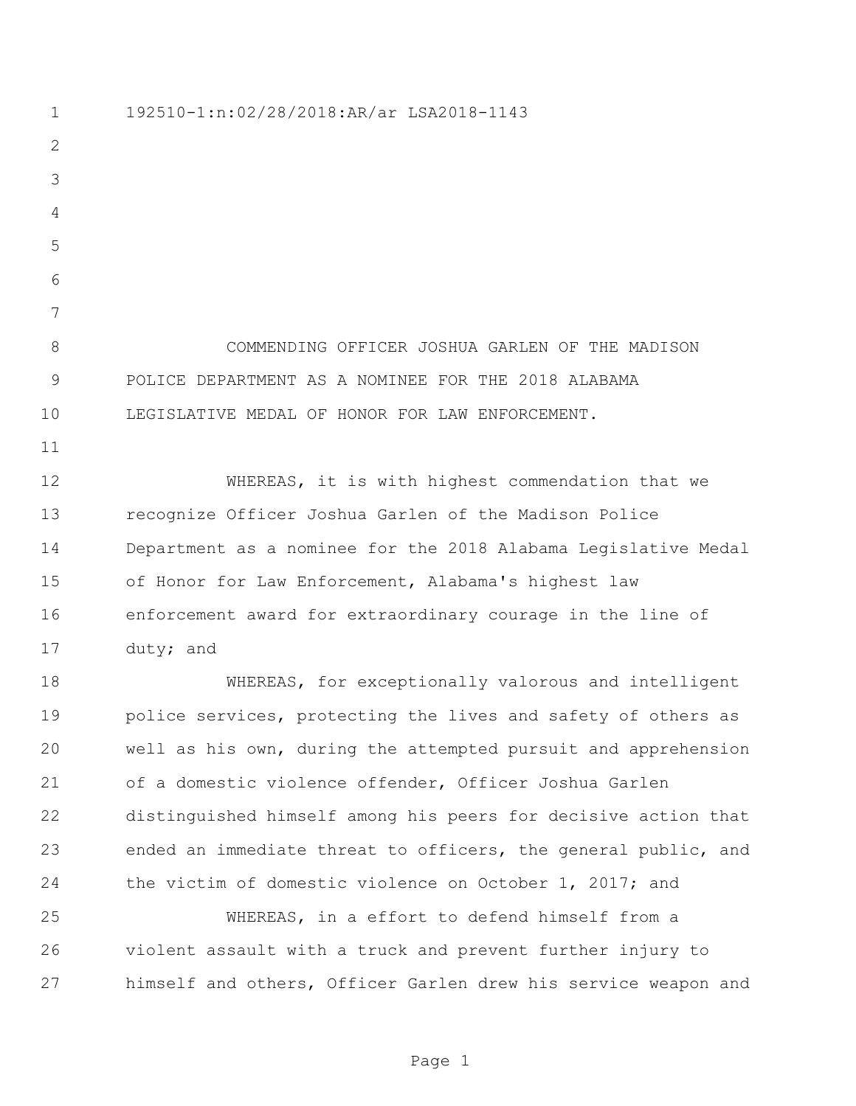192510-1:n:02/28/2018:AR/ar LSA2018-1143 COMMENDING OFFICER JOSHUA GARLEN OF THE MADISON POLICE DEPARTMENT AS A NOMINEE FOR THE 2018 ALABAMA LEGISLATIVE MEDAL OF HONOR FOR LAW ENFORCEMENT. 12 WHEREAS, it is with highest commendation that we recognize Officer Joshua Garlen of the Madison Police Department as a nominee for the 2018 Alabama Legislative Medal of Honor for Law Enforcement, Alabama's highest law enforcement award for extraordinary courage in the line of duty; and WHEREAS, for exceptionally valorous and intelligent 19 police services, protecting the lives and safety of others as well as his own, during the attempted pursuit and apprehension of a domestic violence offender, Officer Joshua Garlen distinguished himself among his peers for decisive action that ended an immediate threat to officers, the general public, and the victim of domestic violence on October 1, 2017; and

 WHEREAS, in a effort to defend himself from a violent assault with a truck and prevent further injury to himself and others, Officer Garlen drew his service weapon and